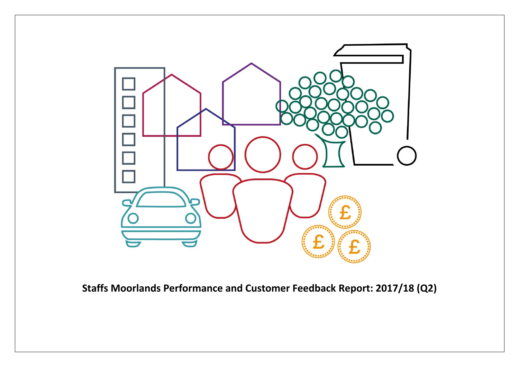

**Staffs Moorlands Performance and Customer Feedback Report: 2017/18 (Q2)**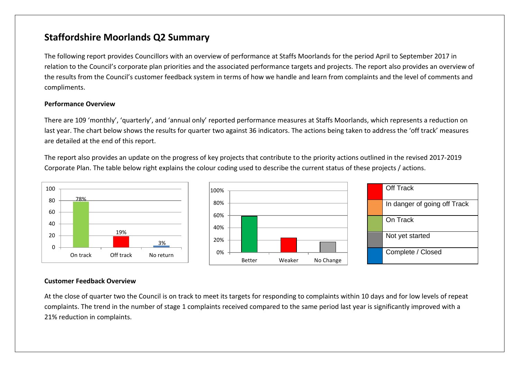## **Staffordshire Moorlands Q2 Summary**

The following report provides Councillors with an overview of performance at Staffs Moorlands for the period April to September 2017 in relation to the Council's corporate plan priorities and the associated performance targets and projects. The report also provides an overview of the results from the Council's customer feedback system in terms of how we handle and learn from complaints and the level of comments and compliments.

#### **Performance Overview**

There are 109 'monthly', 'quarterly', and 'annual only' reported performance measures at Staffs Moorlands, which represents a reduction on last year. The chart below shows the results for quarter two against 36 indicators. The actions being taken to address the 'off track' measures are detailed at the end of this report.

The report also provides an update on the progress of key projects that contribute to the priority actions outlined in the revised 2017-2019 Corporate Plan. The table below right explains the colour coding used to describe the current status of these projects / actions.





| <b>Off Track</b>             |
|------------------------------|
| In danger of going off Track |
| On Track                     |
| Not yet started              |
| Complete / Closed            |

#### **Customer Feedback Overview**

At the close of quarter two the Council is on track to meet its targets for responding to complaints within 10 days and for low levels of repeat complaints. The trend in the number of stage 1 complaints received compared to the same period last year is significantly improved with a 21% reduction in complaints.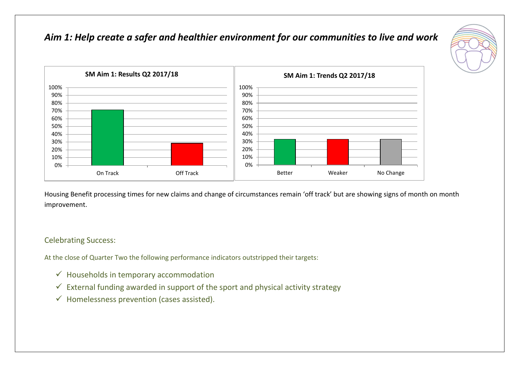## *Aim 1: Help create a safer and healthier environment for our communities to live and work*





Housing Benefit processing times for new claims and change of circumstances remain 'off track' but are showing signs of month on month improvement.

#### Celebrating Success:

At the close of Quarter Two the following performance indicators outstripped their targets:

- $\checkmark$  Households in temporary accommodation
- $\checkmark$  External funding awarded in support of the sport and physical activity strategy
- $\checkmark$  Homelessness prevention (cases assisted).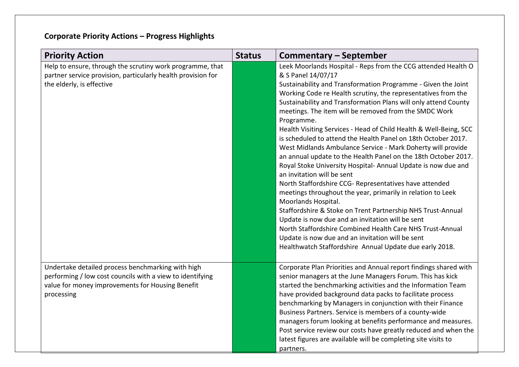| <b>Priority Action</b>                                                                                                                                                           | <b>Status</b> | Commentary – September                                                                                                                                                                                                                                                                                                                                                                                                                                                                                                                                                                                                                                                                                                                                                                                                                                                                                                                                                                                                                                                                                                                                                              |
|----------------------------------------------------------------------------------------------------------------------------------------------------------------------------------|---------------|-------------------------------------------------------------------------------------------------------------------------------------------------------------------------------------------------------------------------------------------------------------------------------------------------------------------------------------------------------------------------------------------------------------------------------------------------------------------------------------------------------------------------------------------------------------------------------------------------------------------------------------------------------------------------------------------------------------------------------------------------------------------------------------------------------------------------------------------------------------------------------------------------------------------------------------------------------------------------------------------------------------------------------------------------------------------------------------------------------------------------------------------------------------------------------------|
| Help to ensure, through the scrutiny work programme, that<br>partner service provision, particularly health provision for<br>the elderly, is effective                           |               | Leek Moorlands Hospital - Reps from the CCG attended Health O<br>& S Panel 14/07/17<br>Sustainability and Transformation Programme - Given the Joint<br>Working Code re Health scrutiny, the representatives from the<br>Sustainability and Transformation Plans will only attend County<br>meetings. The item will be removed from the SMDC Work<br>Programme.<br>Health Visiting Services - Head of Child Health & Well-Being, SCC<br>is scheduled to attend the Health Panel on 18th October 2017.<br>West Midlands Ambulance Service - Mark Doherty will provide<br>an annual update to the Health Panel on the 18th October 2017.<br>Royal Stoke University Hospital-Annual Update is now due and<br>an invitation will be sent<br>North Staffordshire CCG- Representatives have attended<br>meetings throughout the year, primarily in relation to Leek<br>Moorlands Hospital.<br>Staffordshire & Stoke on Trent Partnership NHS Trust-Annual<br>Update is now due and an invitation will be sent<br>North Staffordshire Combined Health Care NHS Trust-Annual<br>Update is now due and an invitation will be sent<br>Healthwatch Staffordshire Annual Update due early 2018. |
| Undertake detailed process benchmarking with high<br>performing / low cost councils with a view to identifying<br>value for money improvements for Housing Benefit<br>processing |               | Corporate Plan Priorities and Annual report findings shared with<br>senior managers at the June Managers Forum. This has kick<br>started the benchmarking activities and the Information Team<br>have provided background data packs to facilitate process<br>benchmarking by Managers in conjunction with their Finance<br>Business Partners. Service is members of a county-wide<br>managers forum looking at benefits performance and measures.<br>Post service review our costs have greatly reduced and when the<br>latest figures are available will be completing site visits to<br>partners.                                                                                                                                                                                                                                                                                                                                                                                                                                                                                                                                                                                |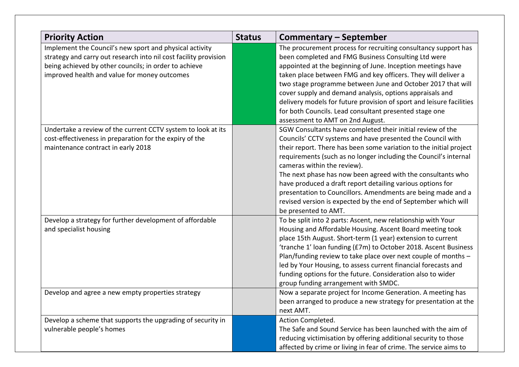| <b>Priority Action</b>                                                                                                                                                                                                               | <b>Status</b> | <b>Commentary - September</b>                                                                                                                                                                                                                                                                                                                                                                                                                                                                                                                                                            |
|--------------------------------------------------------------------------------------------------------------------------------------------------------------------------------------------------------------------------------------|---------------|------------------------------------------------------------------------------------------------------------------------------------------------------------------------------------------------------------------------------------------------------------------------------------------------------------------------------------------------------------------------------------------------------------------------------------------------------------------------------------------------------------------------------------------------------------------------------------------|
| Implement the Council's new sport and physical activity<br>strategy and carry out research into nil cost facility provision<br>being achieved by other councils; in order to achieve<br>improved health and value for money outcomes |               | The procurement process for recruiting consultancy support has<br>been completed and FMG Business Consulting Ltd were<br>appointed at the beginning of June. Inception meetings have<br>taken place between FMG and key officers. They will deliver a<br>two stage programme between June and October 2017 that will<br>cover supply and demand analysis, options appraisals and<br>delivery models for future provision of sport and leisure facilities<br>for both Councils. Lead consultant presented stage one<br>assessment to AMT on 2nd August.                                   |
| Undertake a review of the current CCTV system to look at its<br>cost-effectiveness in preparation for the expiry of the<br>maintenance contract in early 2018                                                                        |               | SGW Consultants have completed their initial review of the<br>Councils' CCTV systems and have presented the Council with<br>their report. There has been some variation to the initial project<br>requirements (such as no longer including the Council's internal<br>cameras within the review).<br>The next phase has now been agreed with the consultants who<br>have produced a draft report detailing various options for<br>presentation to Councillors. Amendments are being made and a<br>revised version is expected by the end of September which will<br>be presented to AMT. |
| Develop a strategy for further development of affordable<br>and specialist housing                                                                                                                                                   |               | To be split into 2 parts: Ascent, new relationship with Your<br>Housing and Affordable Housing. Ascent Board meeting took<br>place 15th August. Short-term (1 year) extension to current<br>'tranche 1' loan funding (£7m) to October 2018. Ascent Business<br>Plan/funding review to take place over next couple of months -<br>led by Your Housing, to assess current financial forecasts and<br>funding options for the future. Consideration also to wider<br>group funding arrangement with SMDC.                                                                                   |
| Develop and agree a new empty properties strategy                                                                                                                                                                                    |               | Now a separate project for Income Generation. A meeting has<br>been arranged to produce a new strategy for presentation at the<br>next AMT.                                                                                                                                                                                                                                                                                                                                                                                                                                              |
| Develop a scheme that supports the upgrading of security in<br>vulnerable people's homes                                                                                                                                             |               | Action Completed.<br>The Safe and Sound Service has been launched with the aim of<br>reducing victimisation by offering additional security to those<br>affected by crime or living in fear of crime. The service aims to                                                                                                                                                                                                                                                                                                                                                                |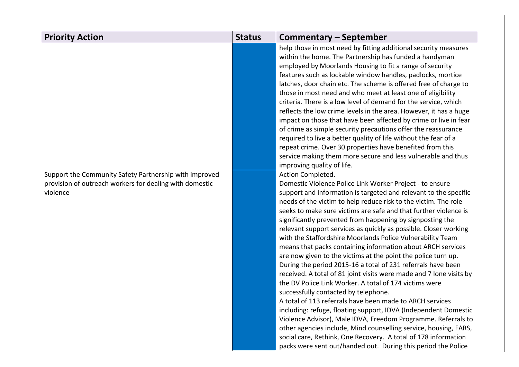| <b>Priority Action</b>                                                                                                        | <b>Status</b> | Commentary – September                                                                                                                                                                                                                                                                                                                                                                                                                                                                                                                                                                                                                                                                                                                                                                                                                                                                                                                                                                                                                                                                                                                                                                                 |
|-------------------------------------------------------------------------------------------------------------------------------|---------------|--------------------------------------------------------------------------------------------------------------------------------------------------------------------------------------------------------------------------------------------------------------------------------------------------------------------------------------------------------------------------------------------------------------------------------------------------------------------------------------------------------------------------------------------------------------------------------------------------------------------------------------------------------------------------------------------------------------------------------------------------------------------------------------------------------------------------------------------------------------------------------------------------------------------------------------------------------------------------------------------------------------------------------------------------------------------------------------------------------------------------------------------------------------------------------------------------------|
|                                                                                                                               |               | help those in most need by fitting additional security measures<br>within the home. The Partnership has funded a handyman<br>employed by Moorlands Housing to fit a range of security<br>features such as lockable window handles, padlocks, mortice<br>latches, door chain etc. The scheme is offered free of charge to<br>those in most need and who meet at least one of eligibility<br>criteria. There is a low level of demand for the service, which<br>reflects the low crime levels in the area. However, it has a huge<br>impact on those that have been affected by crime or live in fear<br>of crime as simple security precautions offer the reassurance<br>required to live a better quality of life without the fear of a<br>repeat crime. Over 30 properties have benefited from this<br>service making them more secure and less vulnerable and thus<br>improving quality of life.                                                                                                                                                                                                                                                                                                     |
| Support the Community Safety Partnership with improved<br>provision of outreach workers for dealing with domestic<br>violence |               | Action Completed.<br>Domestic Violence Police Link Worker Project - to ensure<br>support and information is targeted and relevant to the specific<br>needs of the victim to help reduce risk to the victim. The role<br>seeks to make sure victims are safe and that further violence is<br>significantly prevented from happening by signposting the<br>relevant support services as quickly as possible. Closer working<br>with the Staffordshire Moorlands Police Vulnerability Team<br>means that packs containing information about ARCH services<br>are now given to the victims at the point the police turn up.<br>During the period 2015-16 a total of 231 referrals have been<br>received. A total of 81 joint visits were made and 7 lone visits by<br>the DV Police Link Worker. A total of 174 victims were<br>successfully contacted by telephone.<br>A total of 113 referrals have been made to ARCH services<br>including: refuge, floating support, IDVA (Independent Domestic<br>Violence Advisor), Male IDVA, Freedom Programme. Referrals to<br>other agencies include, Mind counselling service, housing, FARS,<br>social care, Rethink, One Recovery. A total of 178 information |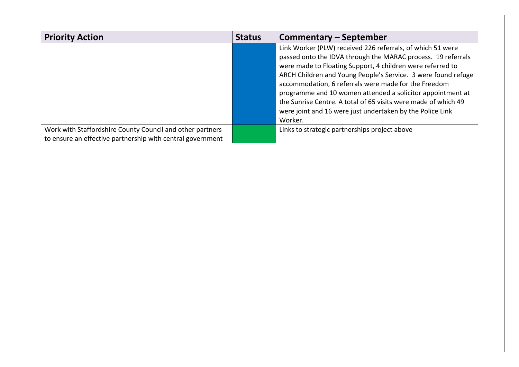| <b>Priority Action</b>                                                                                                  | <b>Status</b> | <b>Commentary - September</b>                                                                                                                                                                                                                                                                                                                                                                                                                                                                                             |
|-------------------------------------------------------------------------------------------------------------------------|---------------|---------------------------------------------------------------------------------------------------------------------------------------------------------------------------------------------------------------------------------------------------------------------------------------------------------------------------------------------------------------------------------------------------------------------------------------------------------------------------------------------------------------------------|
|                                                                                                                         |               | Link Worker (PLW) received 226 referrals, of which 51 were<br>passed onto the IDVA through the MARAC process. 19 referrals<br>were made to Floating Support, 4 children were referred to<br>ARCH Children and Young People's Service. 3 were found refuge<br>accommodation, 6 referrals were made for the Freedom<br>programme and 10 women attended a solicitor appointment at<br>the Sunrise Centre. A total of 65 visits were made of which 49<br>were joint and 16 were just undertaken by the Police Link<br>Worker. |
| Work with Staffordshire County Council and other partners<br>to ensure an effective partnership with central government |               | Links to strategic partnerships project above                                                                                                                                                                                                                                                                                                                                                                                                                                                                             |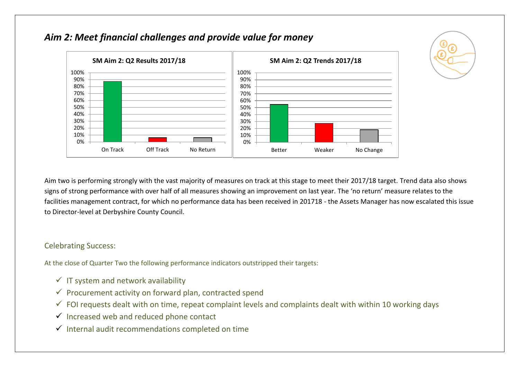

## *Aim 2: Meet financial challenges and provide value for money*

Aim two is performing strongly with the vast majority of measures on track at this stage to meet their 2017/18 target. Trend data also shows signs of strong performance with over half of all measures showing an improvement on last year. The 'no return' measure relates to the facilities management contract, for which no performance data has been received in 201718 - the Assets Manager has now escalated this issue to Director-level at Derbyshire County Council.

#### Celebrating Success:

At the close of Quarter Two the following performance indicators outstripped their targets:

- $\checkmark$  IT system and network availability
- $\checkmark$  Procurement activity on forward plan, contracted spend
- $\checkmark$  FOI requests dealt with on time, repeat complaint levels and complaints dealt with within 10 working days
- $\checkmark$  Increased web and reduced phone contact
- $\checkmark$  Internal audit recommendations completed on time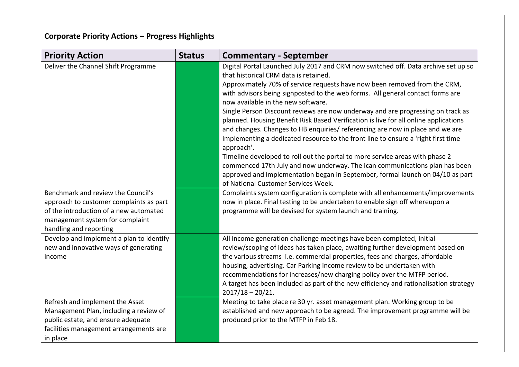| <b>Priority Action</b>                                                                                                                                                               | <b>Status</b> | <b>Commentary - September</b>                                                                                                                                                                                                                                                                                                                                                                                                                                                                                                                                                                                                                                                                                                                                                                                                                                                                                                                                                           |
|--------------------------------------------------------------------------------------------------------------------------------------------------------------------------------------|---------------|-----------------------------------------------------------------------------------------------------------------------------------------------------------------------------------------------------------------------------------------------------------------------------------------------------------------------------------------------------------------------------------------------------------------------------------------------------------------------------------------------------------------------------------------------------------------------------------------------------------------------------------------------------------------------------------------------------------------------------------------------------------------------------------------------------------------------------------------------------------------------------------------------------------------------------------------------------------------------------------------|
| Deliver the Channel Shift Programme                                                                                                                                                  |               | Digital Portal Launched July 2017 and CRM now switched off. Data archive set up so<br>that historical CRM data is retained.<br>Approximately 70% of service requests have now been removed from the CRM,<br>with advisors being signposted to the web forms. All general contact forms are<br>now available in the new software.<br>Single Person Discount reviews are now underway and are progressing on track as<br>planned. Housing Benefit Risk Based Verification is live for all online applications<br>and changes. Changes to HB enquiries/ referencing are now in place and we are<br>implementing a dedicated resource to the front line to ensure a 'right first time<br>approach'.<br>Timeline developed to roll out the portal to more service areas with phase 2<br>commenced 17th July and now underway. The ican communications plan has been<br>approved and implementation began in September, formal launch on 04/10 as part<br>of National Customer Services Week. |
| Benchmark and review the Council's<br>approach to customer complaints as part<br>of the introduction of a new automated<br>management system for complaint<br>handling and reporting |               | Complaints system configuration is complete with all enhancements/improvements<br>now in place. Final testing to be undertaken to enable sign off whereupon a<br>programme will be devised for system launch and training.                                                                                                                                                                                                                                                                                                                                                                                                                                                                                                                                                                                                                                                                                                                                                              |
| Develop and implement a plan to identify<br>new and innovative ways of generating<br>income                                                                                          |               | All income generation challenge meetings have been completed, initial<br>review/scoping of ideas has taken place, awaiting further development based on<br>the various streams i.e. commercial properties, fees and charges, affordable<br>housing, advertising. Car Parking income review to be undertaken with<br>recommendations for increases/new charging policy over the MTFP period.<br>A target has been included as part of the new efficiency and rationalisation strategy<br>$2017/18 - 20/21.$                                                                                                                                                                                                                                                                                                                                                                                                                                                                              |
| Refresh and implement the Asset<br>Management Plan, including a review of<br>public estate, and ensure adequate<br>facilities management arrangements are<br>in place                |               | Meeting to take place re 30 yr. asset management plan. Working group to be<br>established and new approach to be agreed. The improvement programme will be<br>produced prior to the MTFP in Feb 18.                                                                                                                                                                                                                                                                                                                                                                                                                                                                                                                                                                                                                                                                                                                                                                                     |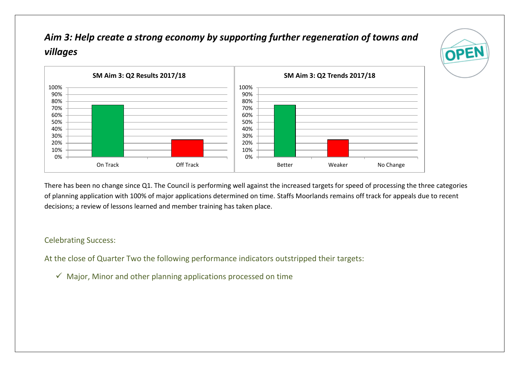# *Aim 3: Help create a strong economy by supporting further regeneration of towns and villages*





There has been no change since Q1. The Council is performing well against the increased targets for speed of processing the three categories of planning application with 100% of major applications determined on time. Staffs Moorlands remains off track for appeals due to recent decisions; a review of lessons learned and member training has taken place.

#### Celebrating Success:

At the close of Quarter Two the following performance indicators outstripped their targets:

 $\checkmark$  Major, Minor and other planning applications processed on time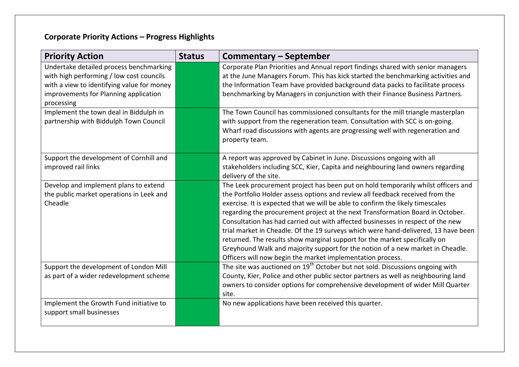| <b>Priority Action</b>                                                                                                                                                                   | <b>Status</b> | Commentary – September                                                                                                                                                                                                                                                                                                                                                                                                                                                                                                                                                                                                                                                                                                                        |
|------------------------------------------------------------------------------------------------------------------------------------------------------------------------------------------|---------------|-----------------------------------------------------------------------------------------------------------------------------------------------------------------------------------------------------------------------------------------------------------------------------------------------------------------------------------------------------------------------------------------------------------------------------------------------------------------------------------------------------------------------------------------------------------------------------------------------------------------------------------------------------------------------------------------------------------------------------------------------|
| Undertake detailed process benchmarking<br>with high performing / low cost councils<br>with a view to identifying value for money<br>improvements for Planning application<br>processing |               | Corporate Plan Priorities and Annual report findings shared with senior managers<br>at the June Managers Forum. This has kick started the benchmarking activities and<br>the Information Team have provided background data packs to facilitate process<br>benchmarking by Managers in conjunction with their Finance Business Partners.                                                                                                                                                                                                                                                                                                                                                                                                      |
| Implement the town deal in Biddulph in<br>partnership with Biddulph Town Council                                                                                                         |               | The Town Council has commissioned consultants for the mill triangle masterplan<br>with support from the regeneration team. Consultation with SCC is on-going.<br>Wharf road discussions with agents are progressing well with regeneration and<br>property team.                                                                                                                                                                                                                                                                                                                                                                                                                                                                              |
| Support the development of Cornhill and<br>improved rail links                                                                                                                           |               | A report was approved by Cabinet in June. Discussions ongoing with all<br>stakeholders including SCC, Kier, Capita and neighbouring land owners regarding<br>delivery of the site.                                                                                                                                                                                                                                                                                                                                                                                                                                                                                                                                                            |
| Develop and implement plans to extend<br>the public market operations in Leek and<br>Cheadle                                                                                             |               | The Leek procurement project has been put on hold temporarily whilst officers and<br>the Portfolio Holder assess options and review all feedback received from the<br>exercise. It is expected that we will be able to confirm the likely timescales<br>regarding the procurement project at the next Transformation Board in October.<br>Consultation has had carried out with affected businesses in respect of the new<br>trial market in Cheadle. Of the 19 surveys which were hand-delivered, 13 have been<br>returned. The results show marginal support for the market specifically on<br>Greyhound Walk and majority support for the notion of a new market in Cheadle.<br>Officers will now begin the market implementation process. |
| Support the development of London Mill<br>as part of a wider redevelopment scheme                                                                                                        |               | The site was auctioned on 19 <sup>th</sup> October but not sold. Discussions ongoing with<br>County, Kier, Police and other public sector partners as well as neighbouring land<br>owners to consider options for comprehensive development of wider Mill Quarter<br>site.                                                                                                                                                                                                                                                                                                                                                                                                                                                                    |
| Implement the Growth Fund initiative to<br>support small businesses                                                                                                                      |               | No new applications have been received this quarter.                                                                                                                                                                                                                                                                                                                                                                                                                                                                                                                                                                                                                                                                                          |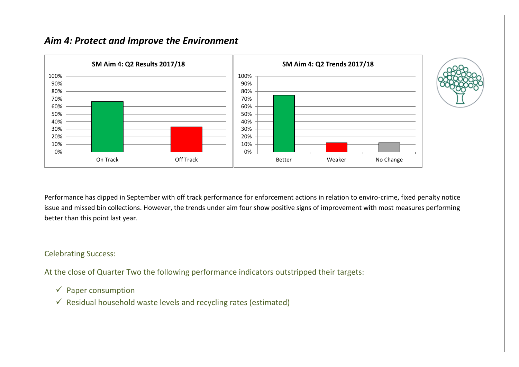## *Aim 4: Protect and Improve the Environment*



Performance has dipped in September with off track performance for enforcement actions in relation to enviro-crime, fixed penalty notice issue and missed bin collections. However, the trends under aim four show positive signs of improvement with most measures performing better than this point last year.

#### Celebrating Success:

At the close of Quarter Two the following performance indicators outstripped their targets:

- $\checkmark$  Paper consumption
- $\checkmark$  Residual household waste levels and recycling rates (estimated)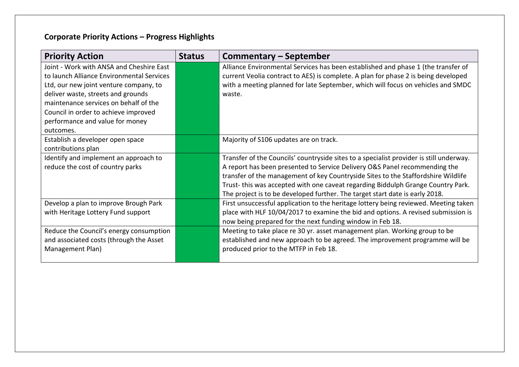| <b>Priority Action</b>                    | <b>Status</b> | Commentary – September                                                                  |
|-------------------------------------------|---------------|-----------------------------------------------------------------------------------------|
| Joint - Work with ANSA and Cheshire East  |               | Alliance Environmental Services has been established and phase 1 (the transfer of       |
| to launch Alliance Environmental Services |               | current Veolia contract to AES) is complete. A plan for phase 2 is being developed      |
| Ltd, our new joint venture company, to    |               | with a meeting planned for late September, which will focus on vehicles and SMDC        |
| deliver waste, streets and grounds        |               | waste.                                                                                  |
| maintenance services on behalf of the     |               |                                                                                         |
| Council in order to achieve improved      |               |                                                                                         |
| performance and value for money           |               |                                                                                         |
| outcomes.                                 |               |                                                                                         |
| Establish a developer open space          |               | Majority of S106 updates are on track.                                                  |
| contributions plan                        |               |                                                                                         |
| Identify and implement an approach to     |               | Transfer of the Councils' countryside sites to a specialist provider is still underway. |
| reduce the cost of country parks          |               | A report has been presented to Service Delivery O&S Panel recommending the              |
|                                           |               | transfer of the management of key Countryside Sites to the Staffordshire Wildlife       |
|                                           |               | Trust-this was accepted with one caveat regarding Biddulph Grange Country Park.         |
|                                           |               | The project is to be developed further. The target start date is early 2018.            |
| Develop a plan to improve Brough Park     |               | First unsuccessful application to the heritage lottery being reviewed. Meeting taken    |
| with Heritage Lottery Fund support        |               | place with HLF 10/04/2017 to examine the bid and options. A revised submission is       |
|                                           |               | now being prepared for the next funding window in Feb 18.                               |
| Reduce the Council's energy consumption   |               | Meeting to take place re 30 yr. asset management plan. Working group to be              |
| and associated costs (through the Asset   |               | established and new approach to be agreed. The improvement programme will be            |
| Management Plan)                          |               | produced prior to the MTFP in Feb 18.                                                   |
|                                           |               |                                                                                         |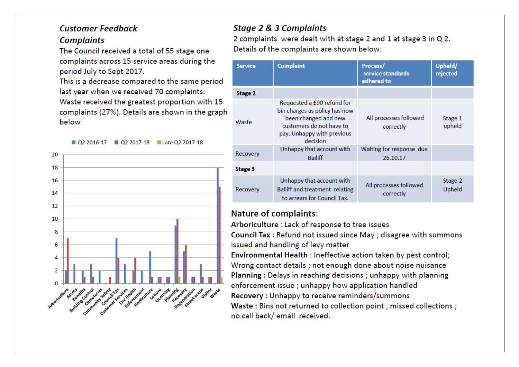### **Customer Feedback Complaints**

The Council received a total of 55 stage one complaints across 15 service areas during the period July to Sept 2017.

This is a decrease compared to the same period last year when we received 70 complaints. Waste received the greatest proportion with 15 complaints (27%). Details are shown in the graph below:

02 2016-17 02 2017-18 late 02 2017-18



## **Stage 2 & 3 Complaints**

2 complaints were dealt with at stage 2 and 1 at stage 3 in Q 2. Details of the complaints are shown below:

| <b>Service</b> | <b>Complaint</b>                                                                                                                                          | Process/<br>service standards<br>adhered to | Upheld/<br>rejected |
|----------------|-----------------------------------------------------------------------------------------------------------------------------------------------------------|---------------------------------------------|---------------------|
| <b>Stage 2</b> |                                                                                                                                                           |                                             |                     |
| Waste          | Requested a £90 refund for<br>bin charges as policy has now<br>been changed and new<br>customers do not have to<br>pay. Unhappy with previous<br>decision | All processes followed<br>correctly         | Stage 1<br>upheld   |
| Recovery       | Unhappy that account with<br><b>Bailiff</b>                                                                                                               | Waiting for response due<br>26.10.17        |                     |
| Stage 3        |                                                                                                                                                           |                                             |                     |
| Recovery       | Unhappy that account with<br>Bailiff and treatment relating<br>to arrears for Council Tax.                                                                | All processes followed<br>correctly         | Stage 2<br>Upheld   |

### **Nature of complaints:**

Arboriculture : Lack of response to tree issues

Council Tax: Refund not issued since May; disagree with summons issued and handling of levy matter

Environmental Health : Ineffective action taken by pest control; Wrong contact details ; not enough done about noise nuisance Planning: Delays in reaching decisions; unhappy with planning enforcement issue ; unhappy how application handled Recovery: Unhappy to receive reminders/summons Waste: Bins not returned to collection point ; missed collections ; no call back/ email received.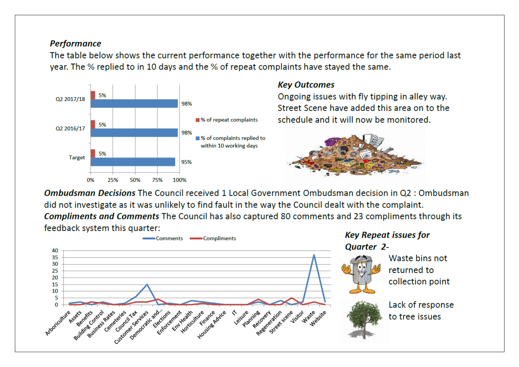### **Performance**

The table below shows the current performance together with the performance for the same period last year. The % replied to in 10 days and the % of repeat complaints have stayed the same.



### **Kev Outcomes**

Ongoing issues with fly tipping in alley way. Street Scene have added this area on to the schedule and it will now be monitored.



**Ombudsman Decisions** The Council received 1 Local Government Ombudsman decision in Q2 : Ombudsman did not investigate as it was unlikely to find fault in the way the Council dealt with the complaint. **Compliments and Comments** The Council has also captured 80 comments and 23 compliments through its feedback system this quarter:

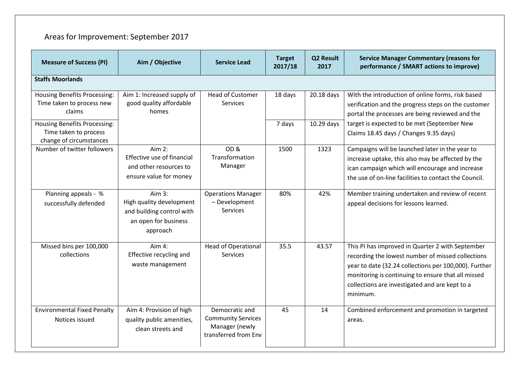# Areas for Improvement: September 2017

| <b>Measure of Success (PI)</b>                                                          | Aim / Objective                                                                                       | <b>Service Lead</b>                                                                   | <b>Target</b><br>2017/18 | Q2 Result<br>2017 | <b>Service Manager Commentary (reasons for</b><br>performance / SMART actions to improve)                                                                                                                                                                                          |  |  |
|-----------------------------------------------------------------------------------------|-------------------------------------------------------------------------------------------------------|---------------------------------------------------------------------------------------|--------------------------|-------------------|------------------------------------------------------------------------------------------------------------------------------------------------------------------------------------------------------------------------------------------------------------------------------------|--|--|
| <b>Staffs Moorlands</b>                                                                 |                                                                                                       |                                                                                       |                          |                   |                                                                                                                                                                                                                                                                                    |  |  |
| <b>Housing Benefits Processing:</b><br>Time taken to process new<br>claims              | Aim 1: Increased supply of<br>good quality affordable<br>homes                                        | <b>Head of Customer</b><br><b>Services</b>                                            | 18 days                  | 20.18 days        | With the introduction of online forms, risk based<br>verification and the progress steps on the customer<br>portal the processes are being reviewed and the                                                                                                                        |  |  |
| <b>Housing Benefits Processing:</b><br>Time taken to process<br>change of circumstances |                                                                                                       |                                                                                       | 7 days                   | 10.29 days        | target is expected to be met (September New<br>Claims 18.45 days / Changes 9.35 days)                                                                                                                                                                                              |  |  |
| Number of twitter followers                                                             | Aim $2:$<br>Effective use of financial<br>and other resources to<br>ensure value for money            | OD <sub>&amp;</sub><br>Transformation<br>Manager                                      | 1500                     | 1323              | Campaigns will be launched later in the year to<br>increase uptake, this also may be affected by the<br>ican campaign which will encourage and increase<br>the use of on-line facilities to contact the Council.                                                                   |  |  |
| Planning appeals - %<br>successfully defended                                           | Aim $3:$<br>High quality development<br>and building control with<br>an open for business<br>approach | <b>Operations Manager</b><br>- Development<br>Services                                | 80%                      | 42%               | Member training undertaken and review of recent<br>appeal decisions for lessons learned.                                                                                                                                                                                           |  |  |
| Missed bins per 100,000<br>collections                                                  | Aim 4:<br>Effective recycling and<br>waste management                                                 | <b>Head of Operational</b><br><b>Services</b>                                         | 35.5                     | 43.57             | This PI has improved in Quarter 2 with September<br>recording the lowest number of missed collections<br>year to date (32.24 collections per 100,000). Further<br>monitoring is continuing to ensure that all missed<br>collections are investigated and are kept to a<br>minimum. |  |  |
| <b>Environmental Fixed Penalty</b><br>Notices issued                                    | Aim 4: Provision of high<br>quality public amenities,<br>clean streets and                            | Democratic and<br><b>Community Services</b><br>Manager (newly<br>transferred from Env | 45                       | 14                | Combined enforcement and promotion in targeted<br>areas.                                                                                                                                                                                                                           |  |  |